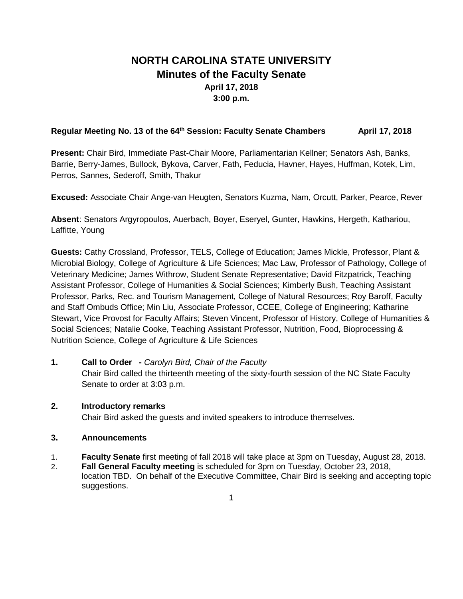# **NORTH CAROLINA STATE UNIVERSITY Minutes of the Faculty Senate April 17, 2018 3:00 p.m.**

# Regular Meeting No. 13 of the 64<sup>th</sup> Session: Faculty Senate Chambers **April 17, 2018**

**Present:** Chair Bird, Immediate Past-Chair Moore, Parliamentarian Kellner; Senators Ash, Banks, Barrie, Berry-James, Bullock, Bykova, Carver, Fath, Feducia, Havner, Hayes, Huffman, Kotek, Lim, Perros, Sannes, Sederoff, Smith, Thakur

**Excused:** Associate Chair Ange-van Heugten, Senators Kuzma, Nam, Orcutt, Parker, Pearce, Rever

**Absent**: Senators Argyropoulos, Auerbach, Boyer, Eseryel, Gunter, Hawkins, Hergeth, Kathariou, Laffitte, Young

**Guests:** Cathy Crossland, Professor, TELS, College of Education; James Mickle, Professor, Plant & Microbial Biology, College of Agriculture & Life Sciences; Mac Law, Professor of Pathology, College of Veterinary Medicine; James Withrow, Student Senate Representative; David Fitzpatrick, Teaching Assistant Professor, College of Humanities & Social Sciences; Kimberly Bush, Teaching Assistant Professor, Parks, Rec. and Tourism Management, College of Natural Resources; Roy Baroff, Faculty and Staff Ombuds Office; Min Liu, Associate Professor, CCEE, College of Engineering; Katharine Stewart, Vice Provost for Faculty Affairs; Steven Vincent, Professor of History, College of Humanities & Social Sciences; Natalie Cooke, Teaching Assistant Professor, Nutrition, Food, Bioprocessing & Nutrition Science, College of Agriculture & Life Sciences

# **1. Call to Order -** *Carolyn Bird, Chair of the Faculty*

Chair Bird called the thirteenth meeting of the sixty-fourth session of the NC State Faculty Senate to order at 3:03 p.m.

# **2. Introductory remarks**

Chair Bird asked the guests and invited speakers to introduce themselves.

# **3. Announcements**

- 1. **Faculty Senate** first meeting of fall 2018 will take place at 3pm on Tuesday, August 28, 2018.
- 2. **Fall General Faculty meeting** is scheduled for 3pm on Tuesday, October 23, 2018, location TBD. On behalf of the Executive Committee, Chair Bird is seeking and accepting topic suggestions.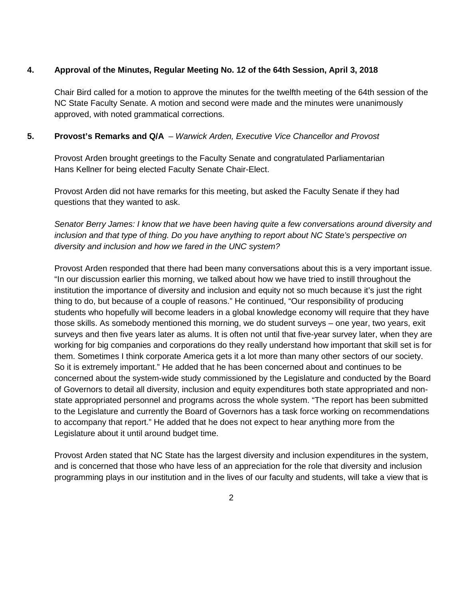### **4. Approval of the Minutes, Regular Meeting No. 12 of the 64th Session, April 3, 2018**

Chair Bird called for a motion to approve the minutes for the twelfth meeting of the 64th session of the NC State Faculty Senate. A motion and second were made and the minutes were unanimously approved, with noted grammatical corrections.

# **5. Provost's Remarks and Q/A** – *Warwick Arden, Executive Vice Chancellor and Provost*

Provost Arden brought greetings to the Faculty Senate and congratulated Parliamentarian Hans Kellner for being elected Faculty Senate Chair-Elect.

Provost Arden did not have remarks for this meeting, but asked the Faculty Senate if they had questions that they wanted to ask.

*Senator Berry James: I know that we have been having quite a few conversations around diversity and inclusion and that type of thing. Do you have anything to report about NC State's perspective on diversity and inclusion and how we fared in the UNC system?*

Provost Arden responded that there had been many conversations about this is a very important issue. "In our discussion earlier this morning, we talked about how we have tried to instill throughout the institution the importance of diversity and inclusion and equity not so much because it's just the right thing to do, but because of a couple of reasons." He continued, "Our responsibility of producing students who hopefully will become leaders in a global knowledge economy will require that they have those skills. As somebody mentioned this morning, we do student surveys – one year, two years, exit surveys and then five years later as alums. It is often not until that five-year survey later, when they are working for big companies and corporations do they really understand how important that skill set is for them. Sometimes I think corporate America gets it a lot more than many other sectors of our society. So it is extremely important." He added that he has been concerned about and continues to be concerned about the system-wide study commissioned by the Legislature and conducted by the Board of Governors to detail all diversity, inclusion and equity expenditures both state appropriated and nonstate appropriated personnel and programs across the whole system. "The report has been submitted to the Legislature and currently the Board of Governors has a task force working on recommendations to accompany that report." He added that he does not expect to hear anything more from the Legislature about it until around budget time.

Provost Arden stated that NC State has the largest diversity and inclusion expenditures in the system, and is concerned that those who have less of an appreciation for the role that diversity and inclusion programming plays in our institution and in the lives of our faculty and students, will take a view that is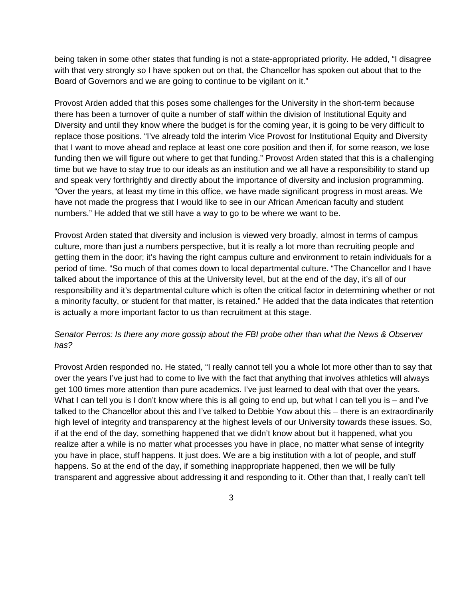being taken in some other states that funding is not a state-appropriated priority. He added, "I disagree with that very strongly so I have spoken out on that, the Chancellor has spoken out about that to the Board of Governors and we are going to continue to be vigilant on it."

Provost Arden added that this poses some challenges for the University in the short-term because there has been a turnover of quite a number of staff within the division of Institutional Equity and Diversity and until they know where the budget is for the coming year, it is going to be very difficult to replace those positions. "I've already told the interim Vice Provost for Institutional Equity and Diversity that I want to move ahead and replace at least one core position and then if, for some reason, we lose funding then we will figure out where to get that funding." Provost Arden stated that this is a challenging time but we have to stay true to our ideals as an institution and we all have a responsibility to stand up and speak very forthrightly and directly about the importance of diversity and inclusion programming. "Over the years, at least my time in this office, we have made significant progress in most areas. We have not made the progress that I would like to see in our African American faculty and student numbers." He added that we still have a way to go to be where we want to be.

Provost Arden stated that diversity and inclusion is viewed very broadly, almost in terms of campus culture, more than just a numbers perspective, but it is really a lot more than recruiting people and getting them in the door; it's having the right campus culture and environment to retain individuals for a period of time. "So much of that comes down to local departmental culture. "The Chancellor and I have talked about the importance of this at the University level, but at the end of the day, it's all of our responsibility and it's departmental culture which is often the critical factor in determining whether or not a minority faculty, or student for that matter, is retained." He added that the data indicates that retention is actually a more important factor to us than recruitment at this stage.

# *Senator Perros: Is there any more gossip about the FBI probe other than what the News & Observer has?*

Provost Arden responded no. He stated, "I really cannot tell you a whole lot more other than to say that over the years I've just had to come to live with the fact that anything that involves athletics will always get 100 times more attention than pure academics. I've just learned to deal with that over the years. What I can tell you is I don't know where this is all going to end up, but what I can tell you is – and I've talked to the Chancellor about this and I've talked to Debbie Yow about this – there is an extraordinarily high level of integrity and transparency at the highest levels of our University towards these issues. So, if at the end of the day, something happened that we didn't know about but it happened, what you realize after a while is no matter what processes you have in place, no matter what sense of integrity you have in place, stuff happens. It just does. We are a big institution with a lot of people, and stuff happens. So at the end of the day, if something inappropriate happened, then we will be fully transparent and aggressive about addressing it and responding to it. Other than that, I really can't tell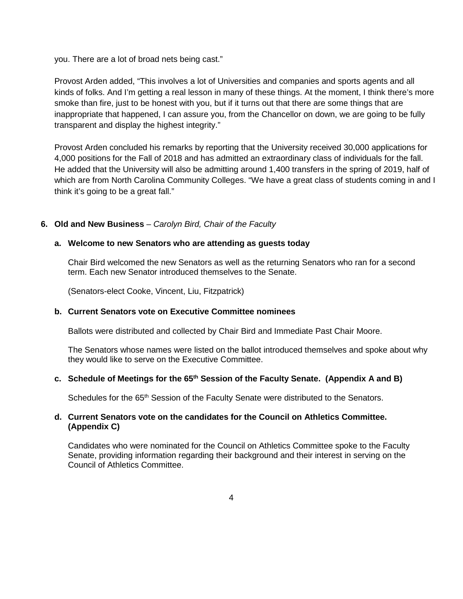you. There are a lot of broad nets being cast."

Provost Arden added, "This involves a lot of Universities and companies and sports agents and all kinds of folks. And I'm getting a real lesson in many of these things. At the moment, I think there's more smoke than fire, just to be honest with you, but if it turns out that there are some things that are inappropriate that happened, I can assure you, from the Chancellor on down, we are going to be fully transparent and display the highest integrity."

Provost Arden concluded his remarks by reporting that the University received 30,000 applications for 4,000 positions for the Fall of 2018 and has admitted an extraordinary class of individuals for the fall. He added that the University will also be admitting around 1,400 transfers in the spring of 2019, half of which are from North Carolina Community Colleges. "We have a great class of students coming in and I think it's going to be a great fall."

# **6. Old and New Business** – *Carolyn Bird, Chair of the Faculty*

#### **a. Welcome to new Senators who are attending as guests today**

Chair Bird welcomed the new Senators as well as the returning Senators who ran for a second term. Each new Senator introduced themselves to the Senate.

(Senators-elect Cooke, Vincent, Liu, Fitzpatrick)

#### **b. Current Senators vote on Executive Committee nominees**

Ballots were distributed and collected by Chair Bird and Immediate Past Chair Moore.

The Senators whose names were listed on the ballot introduced themselves and spoke about why they would like to serve on the Executive Committee.

#### **c. Schedule of Meetings for the 65th Session of the Faculty Senate. (Appendix A and B)**

Schedules for the 65<sup>th</sup> Session of the Faculty Senate were distributed to the Senators.

#### **d. Current Senators vote on the candidates for the Council on Athletics Committee. (Appendix C)**

Candidates who were nominated for the Council on Athletics Committee spoke to the Faculty Senate, providing information regarding their background and their interest in serving on the Council of Athletics Committee.